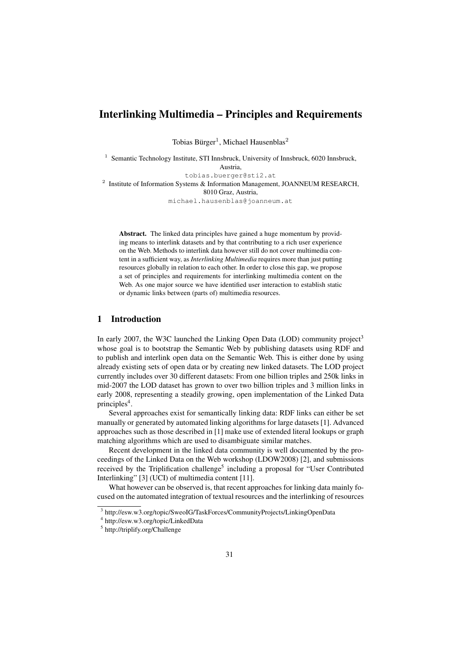# Interlinking Multimedia – Principles and Requirements

Tobias Bürger<sup>1</sup>, Michael Hausenblas<sup>2</sup>

<sup>1</sup> Semantic Technology Institute, STI Innsbruck, University of Innsbruck, 6020 Innsbruck, Austria, tobias.buerger@sti2.at <sup>2</sup> Institute of Information Systems & Information Management, JOANNEUM RESEARCH, 8010 Graz, Austria, michael.hausenblas@joanneum.at

Abstract. The linked data principles have gained a huge momentum by providing means to interlink datasets and by that contributing to a rich user experience on the Web. Methods to interlink data however still do not cover multimedia content in a sufficient way, as *Interlinking Multimedia* requires more than just putting resources globally in relation to each other. In order to close this gap, we propose a set of principles and requirements for interlinking multimedia content on the Web. As one major source we have identified user interaction to establish static or dynamic links between (parts of) multimedia resources.

# 1 Introduction

In early 2007, the W3C launched the Linking Open Data (LOD) community project<sup>3</sup> whose goal is to bootstrap the Semantic Web by publishing datasets using RDF and to publish and interlink open data on the Semantic Web. This is either done by using already existing sets of open data or by creating new linked datasets. The LOD project currently includes over 30 different datasets: From one billion triples and 250k links in mid-2007 the LOD dataset has grown to over two billion triples and 3 million links in early 2008, representing a steadily growing, open implementation of the Linked Data principles<sup>4</sup>.

Several approaches exist for semantically linking data: RDF links can either be set manually or generated by automated linking algorithms for large datasets [1]. Advanced approaches such as those described in [1] make use of extended literal lookups or graph matching algorithms which are used to disambiguate similar matches.

Recent development in the linked data community is well documented by the proceedings of the Linked Data on the Web workshop (LDOW2008) [2], and submissions received by the Triplification challenge<sup>5</sup> including a proposal for "User Contributed Interlinking" [3] (UCI) of multimedia content [11].

What however can be observed is, that recent approaches for linking data mainly focused on the automated integration of textual resources and the interlinking of resources

<sup>3</sup> http://esw.w3.org/topic/SweoIG/TaskForces/CommunityProjects/LinkingOpenData

<sup>4</sup> http://esw.w3.org/topic/LinkedData

<sup>5</sup> http://triplify.org/Challenge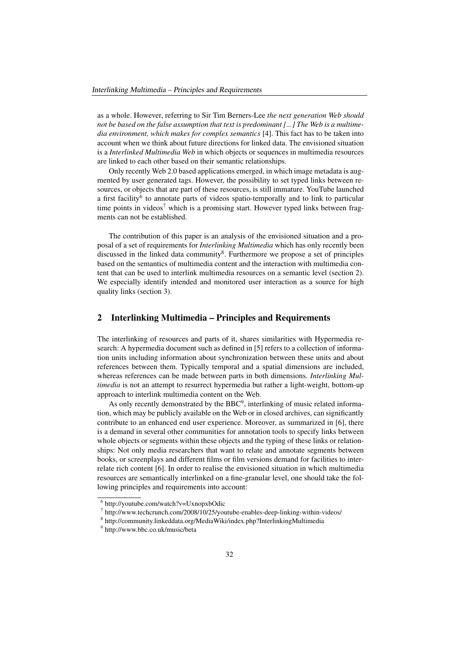as a whole. However, referring to Sir Tim Berners-Lee *the next generation Web should not be based on the false assumption that text is predominant [...] The Web is a multimedia environment, which makes for complex semantics* [4]. This fact has to be taken into account when we think about future directions for linked data. The envisioned situation is a *Interlinked Multimedia Web* in which objects or sequences in multimedia resources are linked to each other based on their semantic relationships.

Only recently Web 2.0 based applications emerged, in which image metadata is augmented by user generated tags. However, the possibility to set typed links between resources, or objects that are part of these resources, is still immature. YouTube launched a first facility<sup>6</sup> to annotate parts of videos spatio-temporally and to link to particular time points in videos<sup>7</sup> which is a promising start. However typed links between fragments can not be established.

The contribution of this paper is an analysis of the envisioned situation and a proposal of a set of requirements for *Interlinking Multimedia* which has only recently been discussed in the linked data community<sup>8</sup>. Furthermore we propose a set of principles based on the semantics of multimedia content and the interaction with multimedia content that can be used to interlink multimedia resources on a semantic level (section 2). We especially identify intended and monitored user interaction as a source for high quality links (section 3).

# 2 Interlinking Multimedia – Principles and Requirements

The interlinking of resources and parts of it, shares similarities with Hypermedia research: A hypermedia document such as defined in [5] refers to a collection of information units including information about synchronization between these units and about references between them. Typically temporal and a spatial dimensions are included, whereas references can be made between parts in both dimensions. *Interlinking Multimedia* is not an attempt to resurrect hypermedia but rather a light-weight, bottom-up approach to interlink multimedia content on the Web.

As only recently demonstrated by the  $BBC<sup>9</sup>$ , interlinking of music related information, which may be publicly available on the Web or in closed archives, can significantly contribute to an enhanced end user experience. Moreover, as summarized in [6], there is a demand in several other communities for annotation tools to specify links between whole objects or segments within these objects and the typing of these links or relationships: Not only media researchers that want to relate and annotate segments between books, or screenplays and different films or film versions demand for facilities to interrelate rich content [6]. In order to realise the envisioned situation in which multimedia resources are semantically interlinked on a fine-granular level, one should take the following principles and requirements into account:

<sup>6</sup> http://youtube.com/watch?v=UxnopxbOdic

<sup>&</sup>lt;sup>7</sup> http://www.techcrunch.com/2008/10/25/youtube-enables-deep-linking-within-videos/

<sup>8</sup> http://community.linkeddata.org/MediaWiki/index.php?InterlinkingMultimedia

<sup>9</sup> http://www.bbc.co.uk/music/beta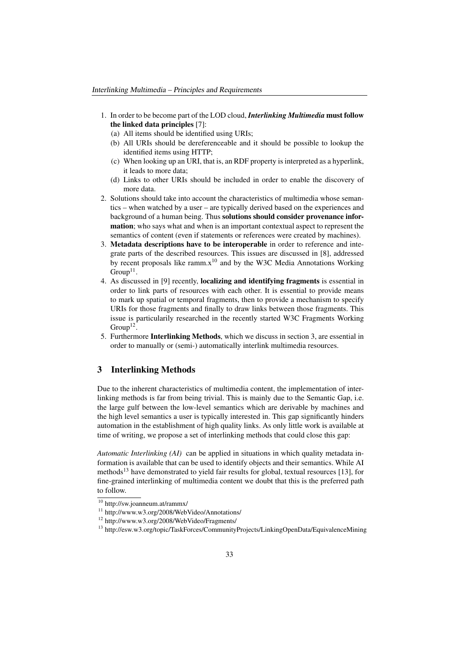- 1. In order to be become part of the LOD cloud, *Interlinking Multimedia* must follow the linked data principles [7]:
	- (a) All items should be identified using URIs;
	- (b) All URIs should be dereferenceable and it should be possible to lookup the identified items using HTTP;
	- (c) When looking up an URI, that is, an RDF property is interpreted as a hyperlink, it leads to more data;
	- (d) Links to other URIs should be included in order to enable the discovery of more data.
- 2. Solutions should take into account the characteristics of multimedia whose semantics – when watched by a user – are typically derived based on the experiences and background of a human being. Thus solutions should consider provenance information; who says what and when is an important contextual aspect to represent the semantics of content (even if statements or references were created by machines).
- 3. Metadata descriptions have to be interoperable in order to reference and integrate parts of the described resources. This issues are discussed in [8], addressed by recent proposals like ramm. $x^{10}$  and by the W3C Media Annotations Working  $Group<sup>11</sup>$ .
- 4. As discussed in [9] recently, localizing and identifying fragments is essential in order to link parts of resources with each other. It is essential to provide means to mark up spatial or temporal fragments, then to provide a mechanism to specify URIs for those fragments and finally to draw links between those fragments. This issue is particularily researched in the recently started W3C Fragments Working  $Group<sup>12</sup>$ .
- 5. Furthermore Interlinking Methods, which we discuss in section 3, are essential in order to manually or (semi-) automatically interlink multimedia resources.

### 3 Interlinking Methods

Due to the inherent characteristics of multimedia content, the implementation of interlinking methods is far from being trivial. This is mainly due to the Semantic Gap, i.e. the large gulf between the low-level semantics which are derivable by machines and the high level semantics a user is typically interested in. This gap significantly hinders automation in the establishment of high quality links. As only little work is available at time of writing, we propose a set of interlinking methods that could close this gap:

*Automatic Interlinking (AI)* can be applied in situations in which quality metadata information is available that can be used to identify objects and their semantics. While AI methods<sup>13</sup> have demonstrated to yield fair results for global, textual resources [13], for fine-grained interlinking of multimedia content we doubt that this is the preferred path to follow.

<sup>10</sup> http://sw.joanneum.at/rammx/

<sup>&</sup>lt;sup>11</sup> http://www.w3.org/2008/WebVideo/Annotations/

<sup>12</sup> http://www.w3.org/2008/WebVideo/Fragments/

<sup>13</sup> http://esw.w3.org/topic/TaskForces/CommunityProjects/LinkingOpenData/EquivalenceMining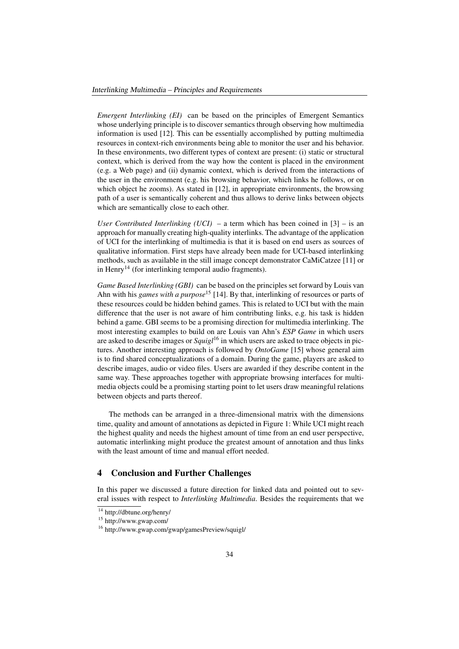*Emergent Interlinking (EI)* can be based on the principles of Emergent Semantics whose underlying principle is to discover semantics through observing how multimedia information is used [12]. This can be essentially accomplished by putting multimedia resources in context-rich environments being able to monitor the user and his behavior. In these environments, two different types of context are present: (i) static or structural context, which is derived from the way how the content is placed in the environment (e.g. a Web page) and (ii) dynamic context, which is derived from the interactions of the user in the environment (e.g. his browsing behavior, which links he follows, or on which object he zooms). As stated in [12], in appropriate environments, the browsing path of a user is semantically coherent and thus allows to derive links between objects which are semantically close to each other.

*User Contributed Interlinking (UCI)* – a term which has been coined in [3] – is an approach for manually creating high-quality interlinks. The advantage of the application of UCI for the interlinking of multimedia is that it is based on end users as sources of qualitative information. First steps have already been made for UCI-based interlinking methods, such as available in the still image concept demonstrator CaMiCatzee [11] or in Henry<sup>14</sup> (for interlinking temporal audio fragments).

*Game Based Interlinking (GBI)* can be based on the principles set forward by Louis van Ahn with his *games with a purpose*<sup>15</sup> [14]. By that, interlinking of resources or parts of these resources could be hidden behind games. This is related to UCI but with the main difference that the user is not aware of him contributing links, e.g. his task is hidden behind a game. GBI seems to be a promising direction for multimedia interlinking. The most interesting examples to build on are Louis van Ahn's *ESP Game* in which users are asked to describe images or *Squigl*<sup>16</sup> in which users are asked to trace objects in pictures. Another interesting approach is followed by *OntoGame* [15] whose general aim is to find shared conceptualizations of a domain. During the game, players are asked to describe images, audio or video files. Users are awarded if they describe content in the same way. These approaches together with appropriate browsing interfaces for multimedia objects could be a promising starting point to let users draw meaningful relations between objects and parts thereof.

The methods can be arranged in a three-dimensional matrix with the dimensions time, quality and amount of annotations as depicted in Figure 1: While UCI might reach the highest quality and needs the highest amount of time from an end user perspective, automatic interlinking might produce the greatest amount of annotation and thus links with the least amount of time and manual effort needed.

# 4 Conclusion and Further Challenges

In this paper we discussed a future direction for linked data and pointed out to several issues with respect to *Interlinking Multimedia*. Besides the requirements that we

 $\frac{14}{14}$  http://dbtune.org/henry/

<sup>15</sup> http://www.gwap.com/

<sup>16</sup> http://www.gwap.com/gwap/gamesPreview/squigl/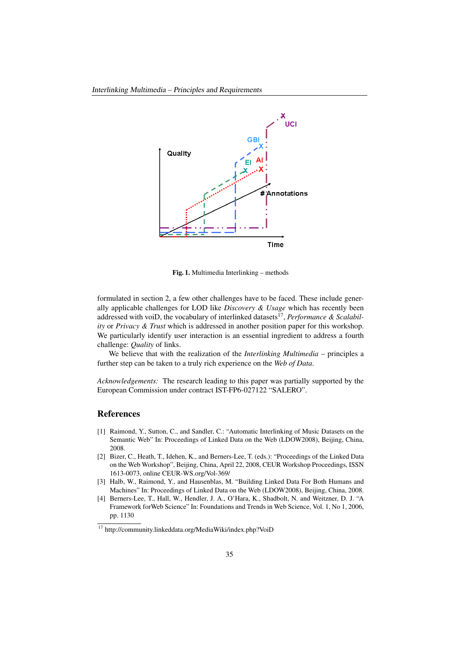

Fig. 1. Multimedia Interlinking – methods

formulated in section 2, a few other challenges have to be faced. These include generally applicable challenges for LOD like *Discovery & Usage* which has recently been addressed with voiD, the vocabulary of interlinked datasets<sup>17</sup>, *Performance & Scalability* or *Privacy & Trust* which is addressed in another position paper for this workshop. We particularly identify user interaction is an essential ingredient to address a fourth challenge: *Quality* of links.

We believe that with the realization of the *Interlinking Multimedia* – principles a further step can be taken to a truly rich experience on the *Web of Data*.

*Acknowledgements:* The research leading to this paper was partially supported by the European Commission under contract IST-FP6-027122 "SALERO".

#### References

- [1] Raimond, Y., Sutton, C., and Sandler, C.: "Automatic Interlinking of Music Datasets on the Semantic Web" In: Proceedings of Linked Data on the Web (LDOW2008), Beijing, China, 2008.
- [2] Bizer, C., Heath, T., Idehen, K., and Berners-Lee, T. (eds.): "Proceedings of the Linked Data on the Web Workshop", Beijing, China, April 22, 2008, CEUR Workshop Proceedings, ISSN 1613-0073, online CEUR-WS.org/Vol-369/
- [3] Halb, W., Raimond, Y., and Hausenblas, M. "Building Linked Data For Both Humans and Machines" In: Proceedings of Linked Data on the Web (LDOW2008), Beijing, China, 2008.
- [4] Berners-Lee, T., Hall, W., Hendler, J. A., O'Hara, K., Shadbolt, N. and Weitzner, D. J. "A Framework forWeb Science" In: Foundations and Trends in Web Science, Vol. 1, No 1, 2006, pp. 1130

<sup>17</sup> http://community.linkeddata.org/MediaWiki/index.php?VoiD